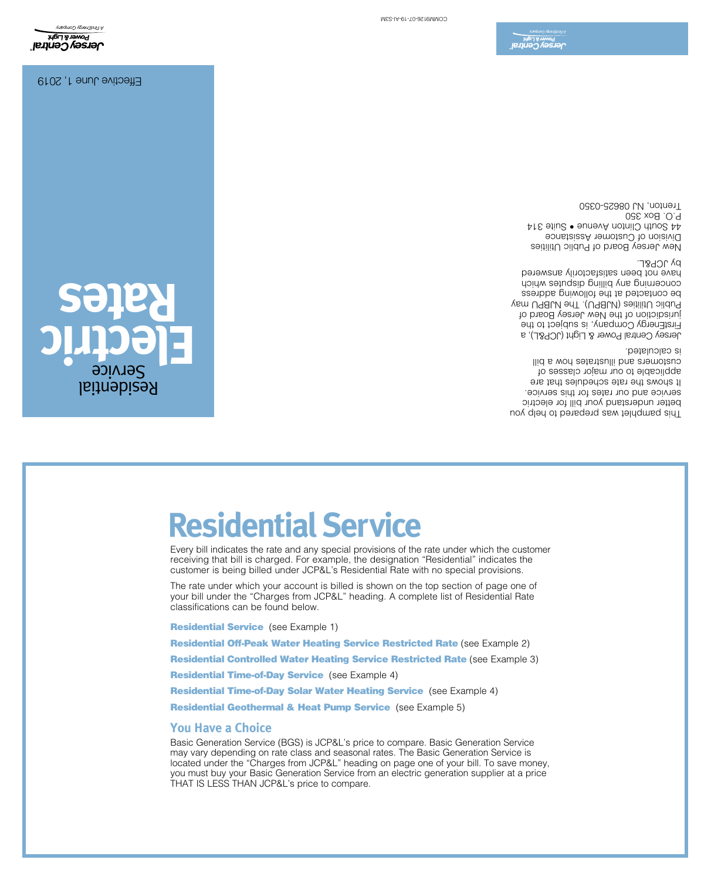Basic Generation Service (BGS) is JCP&L's price to compare. Basic Generation Service may vary depending on rate class and seasonal rates. The Basic Generation Service is located under the "Charges from JCP&L" heading on page one of your bill. To save money, you must buy your Basic Generation Service from an electric generation supplier at a price THAT IS LESS THAN JCP&L's price to compare.

Residential Geothermal & Heat Pump Service (see Example 5)

Residential Time-of-Day Solar Water Heating Service (see Example 4)

Residential Time-of-Day Service (see Example 4)

**Residential Controlled Water Heating Service Restricted Rate (see Example 3)** 

Residential Off-Peak Water Heating Service Restricted Rate (see Example 2)

**Residential Service** (see Example 1)

**You Have a Choice**

The rate under which your account is billed is shown on the top section of page one of your bill under the "Charges from JCP&L" heading. A complete list of Residential Rate classifications can be found below.

Every bill indicates the rate and any special provisions of the rate under which the customer receiving that bill is charged. For example, the designation "Residential" indicates the customer is being billed under JCP&L's Residential Rate with no special provisions.

# **Residential Service**

**Electric Rates** Residential Service

This pamphlet was prepared to help you better understand your bill for electric service and our rates for this service. It shows the rate schedules that are applicable to our major classes of customers and illustrates how a bill is calculated.

Jersey Central Power & Light (JCP&L), a FirstEnergy Company, is subject to the jurisdiction of the New Jersey Board of Public Utilities (NJBPU). The NJBPU may contacted at the following address be concerning any billing baings which have not been satisfactorily answered by JCP&L.

New Jersey Board of Public Utilities Division of Customer Assistance 44 South Clinton Avenue • Suite 314 P.O. Box 350 Trenton, NJ 08625-0350

**Jersey Central**<br>Jersey Central

Effective June 1, 2019